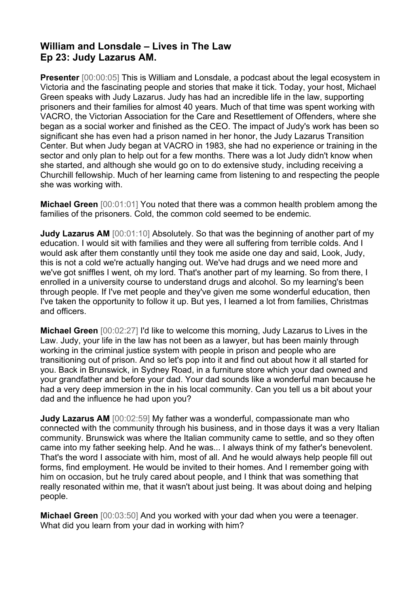## **William and Lonsdale – Lives in The Law Ep 23: Judy Lazarus AM.**

**Presenter** [00:00:05] This is William and Lonsdale, a podcast about the legal ecosystem in Victoria and the fascinating people and stories that make it tick. Today, your host, Michael Green speaks with Judy Lazarus. Judy has had an incredible life in the law, supporting prisoners and their families for almost 40 years. Much of that time was spent working with VACRO, the Victorian Association for the Care and Resettlement of Offenders, where she began as a social worker and finished as the CEO. The impact of Judy's work has been so significant she has even had a prison named in her honor, the Judy Lazarus Transition Center. But when Judy began at VACRO in 1983, she had no experience or training in the sector and only plan to help out for a few months. There was a lot Judy didn't know when she started, and although she would go on to do extensive study, including receiving a Churchill fellowship. Much of her learning came from listening to and respecting the people she was working with.

**Michael Green** [00:01:01] You noted that there was a common health problem among the families of the prisoners. Cold, the common cold seemed to be endemic.

**Judy Lazarus AM** [00:01:10] Absolutely. So that was the beginning of another part of my education. I would sit with families and they were all suffering from terrible colds. And I would ask after them constantly until they took me aside one day and said, Look, Judy, this is not a cold we're actually hanging out. We've had drugs and we need more and we've got sniffles I went, oh my lord. That's another part of my learning. So from there, I enrolled in a university course to understand drugs and alcohol. So my learning's been through people. If I've met people and they've given me some wonderful education, then I've taken the opportunity to follow it up. But yes, I learned a lot from families, Christmas and officers.

**Michael Green** [00:02:27] I'd like to welcome this morning, Judy Lazarus to Lives in the Law. Judy, your life in the law has not been as a lawyer, but has been mainly through working in the criminal justice system with people in prison and people who are transitioning out of prison. And so let's pop into it and find out about how it all started for you. Back in Brunswick, in Sydney Road, in a furniture store which your dad owned and your grandfather and before your dad. Your dad sounds like a wonderful man because he had a very deep immersion in the in his local community. Can you tell us a bit about your dad and the influence he had upon you?

**Judy Lazarus AM** [00:02:59] My father was a wonderful, compassionate man who connected with the community through his business, and in those days it was a very Italian community. Brunswick was where the Italian community came to settle, and so they often came into my father seeking help. And he was... I always think of my father's benevolent. That's the word I associate with him, most of all. And he would always help people fill out forms, find employment. He would be invited to their homes. And I remember going with him on occasion, but he truly cared about people, and I think that was something that really resonated within me, that it wasn't about just being. It was about doing and helping people.

**Michael Green** [00:03:50] And you worked with your dad when you were a teenager. What did you learn from your dad in working with him?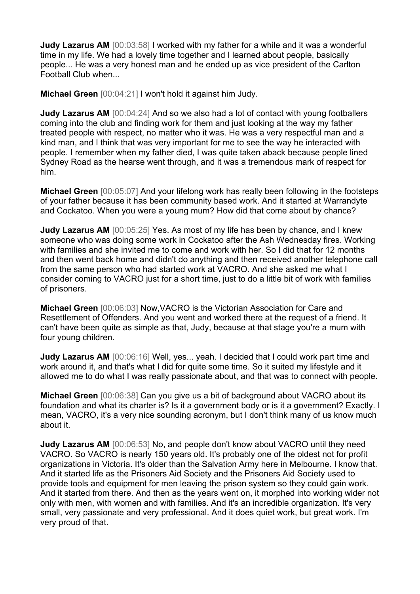**Judy Lazarus AM** [00:03:58] I worked with my father for a while and it was a wonderful time in my life. We had a lovely time together and I learned about people, basically people... He was a very honest man and he ended up as vice president of the Carlton Football Club when...

**Michael Green** [00:04:21] I won't hold it against him Judy.

**Judy Lazarus AM** [00:04:24] And so we also had a lot of contact with young footballers coming into the club and finding work for them and just looking at the way my father treated people with respect, no matter who it was. He was a very respectful man and a kind man, and I think that was very important for me to see the way he interacted with people. I remember when my father died, I was quite taken aback because people lined Sydney Road as the hearse went through, and it was a tremendous mark of respect for him.

**Michael Green** [00:05:07] And your lifelong work has really been following in the footsteps of your father because it has been community based work. And it started at Warrandyte and Cockatoo. When you were a young mum? How did that come about by chance?

**Judy Lazarus AM** [00:05:25] Yes. As most of my life has been by chance, and I knew someone who was doing some work in Cockatoo after the Ash Wednesday fires. Working with families and she invited me to come and work with her. So I did that for 12 months and then went back home and didn't do anything and then received another telephone call from the same person who had started work at VACRO. And she asked me what I consider coming to VACRO just for a short time, just to do a little bit of work with families of prisoners.

**Michael Green** [00:06:03] Now,VACRO is the Victorian Association for Care and Resettlement of Offenders. And you went and worked there at the request of a friend. It can't have been quite as simple as that, Judy, because at that stage you're a mum with four young children.

**Judy Lazarus AM** [00:06:16] Well, yes... yeah. I decided that I could work part time and work around it, and that's what I did for quite some time. So it suited my lifestyle and it allowed me to do what I was really passionate about, and that was to connect with people.

**Michael Green** [00:06:38] Can you give us a bit of background about VACRO about its foundation and what its charter is? Is it a government body or is it a government? Exactly. I mean, VACRO, it's a very nice sounding acronym, but I don't think many of us know much about it.

**Judy Lazarus AM** [00:06:53] No, and people don't know about VACRO until they need VACRO. So VACRO is nearly 150 years old. It's probably one of the oldest not for profit organizations in Victoria. It's older than the Salvation Army here in Melbourne. I know that. And it started life as the Prisoners Aid Society and the Prisoners Aid Society used to provide tools and equipment for men leaving the prison system so they could gain work. And it started from there. And then as the years went on, it morphed into working wider not only with men, with women and with families. And it's an incredible organization. It's very small, very passionate and very professional. And it does quiet work, but great work. I'm very proud of that.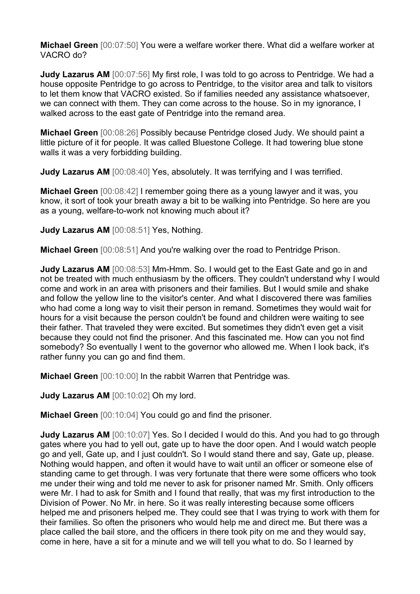**Michael Green** [00:07:50] You were a welfare worker there. What did a welfare worker at VACRO do?

**Judy Lazarus AM** [00:07:56] My first role, I was told to go across to Pentridge. We had a house opposite Pentridge to go across to Pentridge, to the visitor area and talk to visitors to let them know that VACRO existed. So if families needed any assistance whatsoever, we can connect with them. They can come across to the house. So in my ignorance, I walked across to the east gate of Pentridge into the remand area.

**Michael Green** [00:08:26] Possibly because Pentridge closed Judy. We should paint a little picture of it for people. It was called Bluestone College. It had towering blue stone walls it was a very forbidding building.

**Judy Lazarus AM** [00:08:40] Yes, absolutely. It was terrifying and I was terrified.

**Michael Green** [00:08:42] I remember going there as a young lawyer and it was, you know, it sort of took your breath away a bit to be walking into Pentridge. So here are you as a young, welfare-to-work not knowing much about it?

**Judy Lazarus AM** [00:08:51] Yes, Nothing.

**Michael Green** [00:08:51] And you're walking over the road to Pentridge Prison.

**Judy Lazarus AM** [00:08:53] Mm-Hmm. So. I would get to the East Gate and go in and not be treated with much enthusiasm by the officers. They couldn't understand why I would come and work in an area with prisoners and their families. But I would smile and shake and follow the yellow line to the visitor's center. And what I discovered there was families who had come a long way to visit their person in remand. Sometimes they would wait for hours for a visit because the person couldn't be found and children were waiting to see their father. That traveled they were excited. But sometimes they didn't even get a visit because they could not find the prisoner. And this fascinated me. How can you not find somebody? So eventually I went to the governor who allowed me. When I look back, it's rather funny you can go and find them.

**Michael Green** [00:10:00] In the rabbit Warren that Pentridge was.

**Judy Lazarus AM** [00:10:02] Oh my lord.

**Michael Green** [00:10:04] You could go and find the prisoner.

**Judy Lazarus AM** [00:10:07] Yes. So I decided I would do this. And you had to go through gates where you had to yell out, gate up to have the door open. And I would watch people go and yell, Gate up, and I just couldn't. So I would stand there and say, Gate up, please. Nothing would happen, and often it would have to wait until an officer or someone else of standing came to get through. I was very fortunate that there were some officers who took me under their wing and told me never to ask for prisoner named Mr. Smith. Only officers were Mr. I had to ask for Smith and I found that really, that was my first introduction to the Division of Power. No Mr. in here. So it was really interesting because some officers helped me and prisoners helped me. They could see that I was trying to work with them for their families. So often the prisoners who would help me and direct me. But there was a place called the bail store, and the officers in there took pity on me and they would say, come in here, have a sit for a minute and we will tell you what to do. So I learned by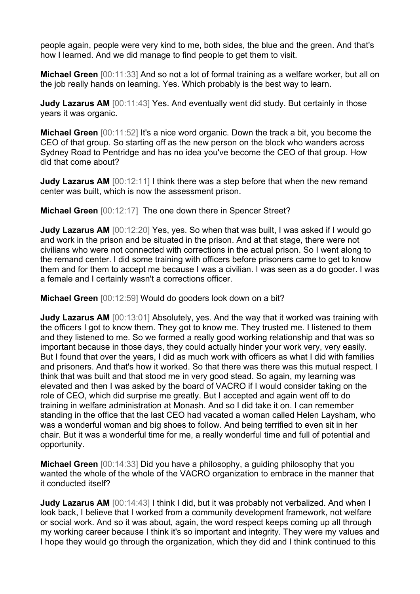people again, people were very kind to me, both sides, the blue and the green. And that's how I learned. And we did manage to find people to get them to visit.

**Michael Green** [00:11:33] And so not a lot of formal training as a welfare worker, but all on the job really hands on learning. Yes. Which probably is the best way to learn.

**Judy Lazarus AM** [00:11:43] Yes. And eventually went did study. But certainly in those years it was organic.

**Michael Green** [00:11:52] It's a nice word organic. Down the track a bit, you become the CEO of that group. So starting off as the new person on the block who wanders across Sydney Road to Pentridge and has no idea you've become the CEO of that group. How did that come about?

**Judy Lazarus AM** [00:12:11] I think there was a step before that when the new remand center was built, which is now the assessment prison.

**Michael Green** [00:12:17] The one down there in Spencer Street?

**Judy Lazarus AM** [00:12:20] Yes, yes. So when that was built, I was asked if I would go and work in the prison and be situated in the prison. And at that stage, there were not civilians who were not connected with corrections in the actual prison. So I went along to the remand center. I did some training with officers before prisoners came to get to know them and for them to accept me because I was a civilian. I was seen as a do gooder. I was a female and I certainly wasn't a corrections officer.

**Michael Green** [00:12:59] Would do gooders look down on a bit?

**Judy Lazarus AM** [00:13:01] Absolutely, yes. And the way that it worked was training with the officers I got to know them. They got to know me. They trusted me. I listened to them and they listened to me. So we formed a really good working relationship and that was so important because in those days, they could actually hinder your work very, very easily. But I found that over the years, I did as much work with officers as what I did with families and prisoners. And that's how it worked. So that there was there was this mutual respect. I think that was built and that stood me in very good stead. So again, my learning was elevated and then I was asked by the board of VACRO if I would consider taking on the role of CEO, which did surprise me greatly. But I accepted and again went off to do training in welfare administration at Monash. And so I did take it on. I can remember standing in the office that the last CEO had vacated a woman called Helen Laysham, who was a wonderful woman and big shoes to follow. And being terrified to even sit in her chair. But it was a wonderful time for me, a really wonderful time and full of potential and opportunity.

**Michael Green** [00:14:33] Did you have a philosophy, a guiding philosophy that you wanted the whole of the whole of the VACRO organization to embrace in the manner that it conducted itself?

**Judy Lazarus AM** [00:14:43] I think I did, but it was probably not verbalized. And when I look back, I believe that I worked from a community development framework, not welfare or social work. And so it was about, again, the word respect keeps coming up all through my working career because I think it's so important and integrity. They were my values and I hope they would go through the organization, which they did and I think continued to this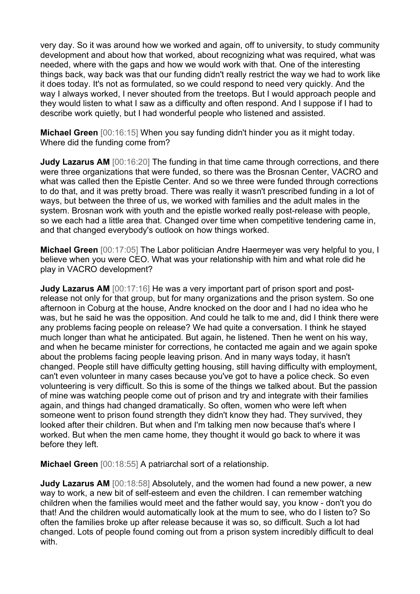very day. So it was around how we worked and again, off to university, to study community development and about how that worked, about recognizing what was required, what was needed, where with the gaps and how we would work with that. One of the interesting things back, way back was that our funding didn't really restrict the way we had to work like it does today. It's not as formulated, so we could respond to need very quickly. And the way I always worked, I never shouted from the treetops. But I would approach people and they would listen to what I saw as a difficulty and often respond. And I suppose if I had to describe work quietly, but I had wonderful people who listened and assisted.

**Michael Green** [00:16:15] When you say funding didn't hinder you as it might today. Where did the funding come from?

**Judy Lazarus AM** [00:16:20] The funding in that time came through corrections, and there were three organizations that were funded, so there was the Brosnan Center, VACRO and what was called then the Epistle Center. And so we three were funded through corrections to do that, and it was pretty broad. There was really it wasn't prescribed funding in a lot of ways, but between the three of us, we worked with families and the adult males in the system. Brosnan work with youth and the epistle worked really post-release with people, so we each had a little area that. Changed over time when competitive tendering came in, and that changed everybody's outlook on how things worked.

**Michael Green** [00:17:05] The Labor politician Andre Haermeyer was very helpful to you, I believe when you were CEO. What was your relationship with him and what role did he play in VACRO development?

**Judy Lazarus AM** [00:17:16] He was a very important part of prison sport and postrelease not only for that group, but for many organizations and the prison system. So one afternoon in Coburg at the house, Andre knocked on the door and I had no idea who he was, but he said he was the opposition. And could he talk to me and, did I think there were any problems facing people on release? We had quite a conversation. I think he stayed much longer than what he anticipated. But again, he listened. Then he went on his way, and when he became minister for corrections, he contacted me again and we again spoke about the problems facing people leaving prison. And in many ways today, it hasn't changed. People still have difficulty getting housing, still having difficulty with employment, can't even volunteer in many cases because you've got to have a police check. So even volunteering is very difficult. So this is some of the things we talked about. But the passion of mine was watching people come out of prison and try and integrate with their families again, and things had changed dramatically. So often, women who were left when someone went to prison found strength they didn't know they had. They survived, they looked after their children. But when and I'm talking men now because that's where I worked. But when the men came home, they thought it would go back to where it was before they left.

**Michael Green** [00:18:55] A patriarchal sort of a relationship.

**Judy Lazarus AM** [00:18:58] Absolutely, and the women had found a new power, a new way to work, a new bit of self-esteem and even the children. I can remember watching children when the families would meet and the father would say, you know - don't you do that! And the children would automatically look at the mum to see, who do I listen to? So often the families broke up after release because it was so, so difficult. Such a lot had changed. Lots of people found coming out from a prison system incredibly difficult to deal with.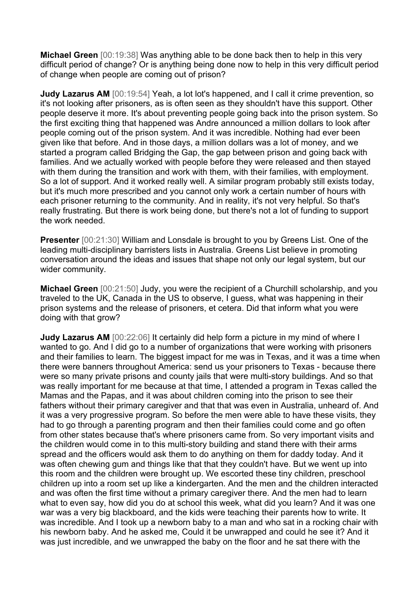**Michael Green** [00:19:38] Was anything able to be done back then to help in this very difficult period of change? Or is anything being done now to help in this very difficult period of change when people are coming out of prison?

**Judy Lazarus AM** [00:19:54] Yeah, a lot lot's happened, and I call it crime prevention, so it's not looking after prisoners, as is often seen as they shouldn't have this support. Other people deserve it more. It's about preventing people going back into the prison system. So the first exciting thing that happened was Andre announced a million dollars to look after people coming out of the prison system. And it was incredible. Nothing had ever been given like that before. And in those days, a million dollars was a lot of money, and we started a program called Bridging the Gap, the gap between prison and going back with families. And we actually worked with people before they were released and then stayed with them during the transition and work with them, with their families, with employment. So a lot of support. And it worked really well. A similar program probably still exists today, but it's much more prescribed and you cannot only work a certain number of hours with each prisoner returning to the community. And in reality, it's not very helpful. So that's really frustrating. But there is work being done, but there's not a lot of funding to support the work needed.

**Presenter** [00:21:30] William and Lonsdale is brought to you by Greens List. One of the leading multi-disciplinary barristers lists in Australia. Greens List believe in promoting conversation around the ideas and issues that shape not only our legal system, but our wider community.

**Michael Green** [00:21:50] Judy, you were the recipient of a Churchill scholarship, and you traveled to the UK, Canada in the US to observe, I guess, what was happening in their prison systems and the release of prisoners, et cetera. Did that inform what you were doing with that grow?

**Judy Lazarus AM** [00:22:06] It certainly did help form a picture in my mind of where I wanted to go. And I did go to a number of organizations that were working with prisoners and their families to learn. The biggest impact for me was in Texas, and it was a time when there were banners throughout America: send us your prisoners to Texas - because there were so many private prisons and county jails that were multi-story buildings. And so that was really important for me because at that time, I attended a program in Texas called the Mamas and the Papas, and it was about children coming into the prison to see their fathers without their primary caregiver and that that was even in Australia, unheard of. And it was a very progressive program. So before the men were able to have these visits, they had to go through a parenting program and then their families could come and go often from other states because that's where prisoners came from. So very important visits and the children would come in to this multi-story building and stand there with their arms spread and the officers would ask them to do anything on them for daddy today. And it was often chewing gum and things like that that they couldn't have. But we went up into this room and the children were brought up. We escorted these tiny children, preschool children up into a room set up like a kindergarten. And the men and the children interacted and was often the first time without a primary caregiver there. And the men had to learn what to even say, how did you do at school this week, what did you learn? And it was one war was a very big blackboard, and the kids were teaching their parents how to write. It was incredible. And I took up a newborn baby to a man and who sat in a rocking chair with his newborn baby. And he asked me, Could it be unwrapped and could he see it? And it was just incredible, and we unwrapped the baby on the floor and he sat there with the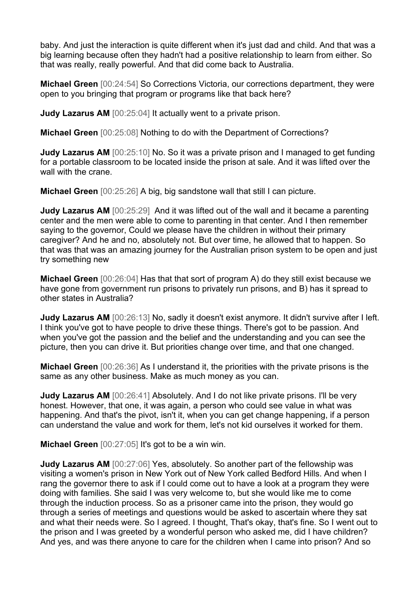baby. And just the interaction is quite different when it's just dad and child. And that was a big learning because often they hadn't had a positive relationship to learn from either. So that was really, really powerful. And that did come back to Australia.

**Michael Green** [00:24:54] So Corrections Victoria, our corrections department, they were open to you bringing that program or programs like that back here?

**Judy Lazarus AM** [00:25:04] It actually went to a private prison.

**Michael Green** [00:25:08] Nothing to do with the Department of Corrections?

**Judy Lazarus AM** [00:25:10] No. So it was a private prison and I managed to get funding for a portable classroom to be located inside the prison at sale. And it was lifted over the wall with the crane.

**Michael Green** [00:25:26] A big, big sandstone wall that still I can picture.

**Judy Lazarus AM** [00:25:29] And it was lifted out of the wall and it became a parenting center and the men were able to come to parenting in that center. And I then remember saying to the governor, Could we please have the children in without their primary caregiver? And he and no, absolutely not. But over time, he allowed that to happen. So that was that was an amazing journey for the Australian prison system to be open and just try something new

**Michael Green** [00:26:04] Has that that sort of program A) do they still exist because we have gone from government run prisons to privately run prisons, and B) has it spread to other states in Australia?

**Judy Lazarus AM** [00:26:13] No, sadly it doesn't exist anymore. It didn't survive after I left. I think you've got to have people to drive these things. There's got to be passion. And when you've got the passion and the belief and the understanding and you can see the picture, then you can drive it. But priorities change over time, and that one changed.

**Michael Green** [00:26:36] As I understand it, the priorities with the private prisons is the same as any other business. Make as much money as you can.

**Judy Lazarus AM** [00:26:41] Absolutely. And I do not like private prisons. I'll be very honest. However, that one, it was again, a person who could see value in what was happening. And that's the pivot, isn't it, when you can get change happening, if a person can understand the value and work for them, let's not kid ourselves it worked for them.

**Michael Green** [00:27:05] It's got to be a win win.

**Judy Lazarus AM** [00:27:06] Yes, absolutely. So another part of the fellowship was visiting a women's prison in New York out of New York called Bedford Hills. And when I rang the governor there to ask if I could come out to have a look at a program they were doing with families. She said I was very welcome to, but she would like me to come through the induction process. So as a prisoner came into the prison, they would go through a series of meetings and questions would be asked to ascertain where they sat and what their needs were. So I agreed. I thought, That's okay, that's fine. So I went out to the prison and I was greeted by a wonderful person who asked me, did I have children? And yes, and was there anyone to care for the children when I came into prison? And so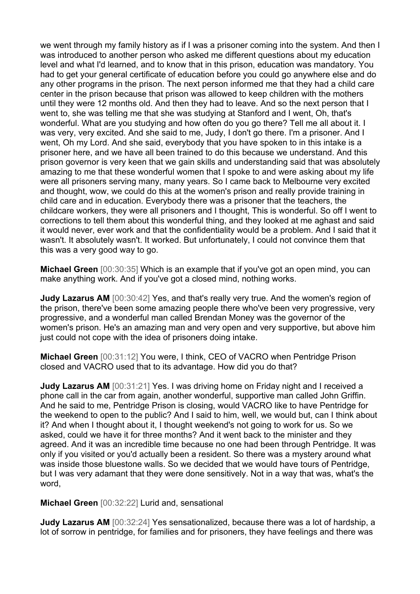we went through my family history as if I was a prisoner coming into the system. And then I was introduced to another person who asked me different questions about my education level and what I'd learned, and to know that in this prison, education was mandatory. You had to get your general certificate of education before you could go anywhere else and do any other programs in the prison. The next person informed me that they had a child care center in the prison because that prison was allowed to keep children with the mothers until they were 12 months old. And then they had to leave. And so the next person that I went to, she was telling me that she was studying at Stanford and I went, Oh, that's wonderful. What are you studying and how often do you go there? Tell me all about it. I was very, very excited. And she said to me, Judy, I don't go there. I'm a prisoner. And I went, Oh my Lord. And she said, everybody that you have spoken to in this intake is a prisoner here, and we have all been trained to do this because we understand. And this prison governor is very keen that we gain skills and understanding said that was absolutely amazing to me that these wonderful women that I spoke to and were asking about my life were all prisoners serving many, many years. So I came back to Melbourne very excited and thought, wow, we could do this at the women's prison and really provide training in child care and in education. Everybody there was a prisoner that the teachers, the childcare workers, they were all prisoners and I thought, This is wonderful. So off I went to corrections to tell them about this wonderful thing, and they looked at me aghast and said it would never, ever work and that the confidentiality would be a problem. And I said that it wasn't. It absolutely wasn't. It worked. But unfortunately, I could not convince them that this was a very good way to go.

**Michael Green** [00:30:35] Which is an example that if you've got an open mind, you can make anything work. And if you've got a closed mind, nothing works.

**Judy Lazarus AM** [00:30:42] Yes, and that's really very true. And the women's region of the prison, there've been some amazing people there who've been very progressive, very progressive, and a wonderful man called Brendan Money was the governor of the women's prison. He's an amazing man and very open and very supportive, but above him just could not cope with the idea of prisoners doing intake.

**Michael Green** [00:31:12] You were, I think, CEO of VACRO when Pentridge Prison closed and VACRO used that to its advantage. How did you do that?

**Judy Lazarus AM** [00:31:21] Yes. I was driving home on Friday night and I received a phone call in the car from again, another wonderful, supportive man called John Griffin. And he said to me, Pentridge Prison is closing, would VACRO like to have Pentridge for the weekend to open to the public? And I said to him, well, we would but, can I think about it? And when I thought about it, I thought weekend's not going to work for us. So we asked, could we have it for three months? And it went back to the minister and they agreed. And it was an incredible time because no one had been through Pentridge. It was only if you visited or you'd actually been a resident. So there was a mystery around what was inside those bluestone walls. So we decided that we would have tours of Pentridge, but I was very adamant that they were done sensitively. Not in a way that was, what's the word,

**Michael Green** [00:32:22] Lurid and, sensational

**Judy Lazarus AM** [00:32:24] Yes sensationalized, because there was a lot of hardship, a lot of sorrow in pentridge, for families and for prisoners, they have feelings and there was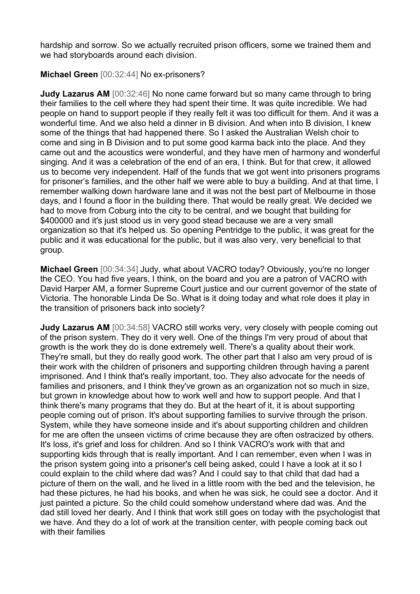hardship and sorrow. So we actually recruited prison officers, some we trained them and we had storyboards around each division.

## **Michael Green** [00:32:44] No ex-prisoners?

**Judy Lazarus AM** [00:32:46] No none came forward but so many came through to bring their families to the cell where they had spent their time. It was quite incredible. We had people on hand to support people if they really felt it was too difficult for them. And it was a wonderful time. And we also held a dinner in B division. And when into B division, I knew some of the things that had happened there. So I asked the Australian Welsh choir to come and sing in B Division and to put some good karma back into the place. And they came out and the acoustics were wonderful, and they have men of harmony and wonderful singing. And it was a celebration of the end of an era, I think. But for that crew, it allowed us to become very independent. Half of the funds that we got went into prisoners programs for prisoner's families, and the other half we were able to buy a building. And at that time, I remember walking down hardware lane and it was not the best part of Melbourne in those days, and I found a floor in the building there. That would be really great. We decided we had to move from Coburg into the city to be central, and we bought that building for \$400000 and it's just stood us in very good stead because we are a very small organization so that it's helped us. So opening Pentridge to the public, it was great for the public and it was educational for the public, but it was also very, very beneficial to that group.

**Michael Green** [00:34:34] Judy, what about VACRO today? Obviously, you're no longer the CEO. You had five years, I think, on the board and you are a patron of VACRO with David Harper AM, a former Supreme Court justice and our current governor of the state of Victoria. The honorable Linda De So. What is it doing today and what role does it play in the transition of prisoners back into society?

**Judy Lazarus AM** [00:34:58] VACRO still works very, very closely with people coming out of the prison system. They do it very well. One of the things I'm very proud of about that growth is the work they do is done extremely well. There's a quality about their work. They're small, but they do really good work. The other part that I also am very proud of is their work with the children of prisoners and supporting children through having a parent imprisoned. And I think that's really important, too. They also advocate for the needs of families and prisoners, and I think they've grown as an organization not so much in size, but grown in knowledge about how to work well and how to support people. And that I think there's many programs that they do. But at the heart of it, it is about supporting people coming out of prison. It's about supporting families to survive through the prison. System, while they have someone inside and it's about supporting children and children for me are often the unseen victims of crime because they are often ostracized by others. It's loss, it's grief and loss for children. And so I think VACRO's work with that and supporting kids through that is really important. And I can remember, even when I was in the prison system going into a prisoner's cell being asked, could I have a look at it so I could explain to the child where dad was? And I could say to that child that dad had a picture of them on the wall, and he lived in a little room with the bed and the television, he had these pictures, he had his books, and when he was sick, he could see a doctor. And it just painted a picture. So the child could somehow understand where dad was. And the dad still loved her dearly. And I think that work still goes on today with the psychologist that we have. And they do a lot of work at the transition center, with people coming back out with their families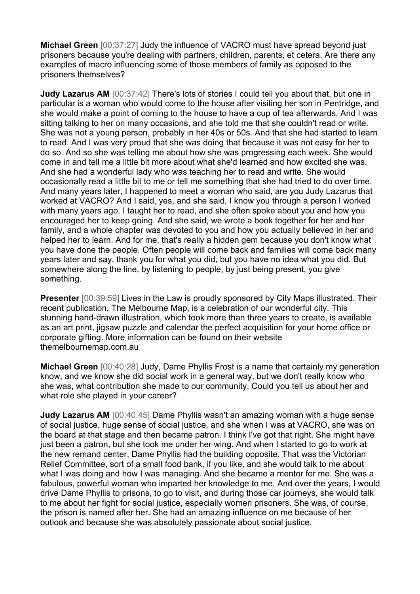**Michael Green** [00:37:27] Judy the influence of VACRO must have spread beyond just prisoners because you're dealing with partners, children, parents, et cetera. Are there any examples of macro influencing some of those members of family as opposed to the prisoners themselves?

**Judy Lazarus AM** [00:37:42] There's lots of stories I could tell you about that, but one in particular is a woman who would come to the house after visiting her son in Pentridge, and she would make a point of coming to the house to have a cup of tea afterwards. And I was sitting talking to her on many occasions, and she told me that she couldn't read or write. She was not a young person, probably in her 40s or 50s. And that she had started to learn to read. And I was very proud that she was doing that because it was not easy for her to do so. And so she was telling me about how she was progressing each week. She would come in and tell me a little bit more about what she'd learned and how excited she was. And she had a wonderful lady who was teaching her to read and write. She would occasionally read a little bit to me or tell me something that she had tried to do over time. And many years later, I happened to meet a woman who said, are you Judy Lazarus that worked at VACRO? And I said, yes, and she said, I know you through a person I worked with many years ago. I taught her to read, and she often spoke about you and how you encouraged her to keep going. And she said, we wrote a book together for her and her family, and a whole chapter was devoted to you and how you actually believed in her and helped her to learn. And for me, that's really a hidden gem because you don't know what you have done the people. Often people will come back and families will come back many years later and say, thank you for what you did, but you have no idea what you did. But somewhere along the line, by listening to people, by just being present, you give something.

**Presenter** [00:39:59] Lives in the Law is proudly sponsored by City Maps illustrated. Their recent publication, The Melbourne Map, is a celebration of our wonderful city. This stunning hand-drawn illustration, which took more than three years to create, is available as an art print, jigsaw puzzle and calendar the perfect acquisition for your home office or corporate gifting. More information can be found on their website themelbournemap.com.au

**Michael Green** [00:40:28] Judy, Dame Phyllis Frost is a name that certainly my generation know, and we know she did social work in a general way, but we don't really know who she was, what contribution she made to our community. Could you tell us about her and what role she played in your career?

**Judy Lazarus AM** [00:40:45] Dame Phyllis wasn't an amazing woman with a huge sense of social justice, huge sense of social justice, and she when I was at VACRO, she was on the board at that stage and then became patron. I think I've got that right. She might have just been a patron, but she took me under her wing. And when I started to go to work at the new remand center, Dame Phyllis had the building opposite. That was the Victorian Relief Committee, sort of a small food bank, if you like, and she would talk to me about what I was doing and how I was managing. And she became a mentor for me. She was a fabulous, powerful woman who imparted her knowledge to me. And over the years, I would drive Dame Phyllis to prisons, to go to visit, and during those car journeys, she would talk to me about her fight for social justice, especially women prisoners. She was, of course, the prison is named after her. She had an amazing influence on me because of her outlook and because she was absolutely passionate about social justice.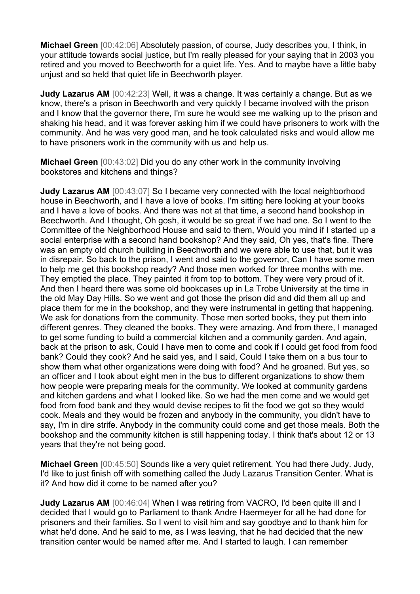**Michael Green** [00:42:06] Absolutely passion, of course, Judy describes you, I think, in your attitude towards social justice, but I'm really pleased for your saying that in 2003 you retired and you moved to Beechworth for a quiet life. Yes. And to maybe have a little baby unjust and so held that quiet life in Beechworth player.

**Judy Lazarus AM** [00:42:23] Well, it was a change. It was certainly a change. But as we know, there's a prison in Beechworth and very quickly I became involved with the prison and I know that the governor there, I'm sure he would see me walking up to the prison and shaking his head, and it was forever asking him if we could have prisoners to work with the community. And he was very good man, and he took calculated risks and would allow me to have prisoners work in the community with us and help us.

**Michael Green** [00:43:02] Did you do any other work in the community involving bookstores and kitchens and things?

**Judy Lazarus AM** [00:43:07] So I became very connected with the local neighborhood house in Beechworth, and I have a love of books. I'm sitting here looking at your books and I have a love of books. And there was not at that time, a second hand bookshop in Beechworth. And I thought, Oh gosh, it would be so great if we had one. So I went to the Committee of the Neighborhood House and said to them, Would you mind if I started up a social enterprise with a second hand bookshop? And they said, Oh yes, that's fine. There was an empty old church building in Beechworth and we were able to use that, but it was in disrepair. So back to the prison, I went and said to the governor, Can I have some men to help me get this bookshop ready? And those men worked for three months with me. They emptied the place. They painted it from top to bottom. They were very proud of it. And then I heard there was some old bookcases up in La Trobe University at the time in the old May Day Hills. So we went and got those the prison did and did them all up and place them for me in the bookshop, and they were instrumental in getting that happening. We ask for donations from the community. Those men sorted books, they put them into different genres. They cleaned the books. They were amazing. And from there, I managed to get some funding to build a commercial kitchen and a community garden. And again, back at the prison to ask, Could I have men to come and cook if I could get food from food bank? Could they cook? And he said yes, and I said, Could I take them on a bus tour to show them what other organizations were doing with food? And he groaned. But yes, so an officer and I took about eight men in the bus to different organizations to show them how people were preparing meals for the community. We looked at community gardens and kitchen gardens and what I looked like. So we had the men come and we would get food from food bank and they would devise recipes to fit the food we got so they would cook. Meals and they would be frozen and anybody in the community, you didn't have to say, I'm in dire strife. Anybody in the community could come and get those meals. Both the bookshop and the community kitchen is still happening today. I think that's about 12 or 13 years that they're not being good.

**Michael Green** [00:45:50] Sounds like a very quiet retirement. You had there Judy. Judy, I'd like to just finish off with something called the Judy Lazarus Transition Center. What is it? And how did it come to be named after you?

**Judy Lazarus AM** [00:46:04] When I was retiring from VACRO, I'd been quite ill and I decided that I would go to Parliament to thank Andre Haermeyer for all he had done for prisoners and their families. So I went to visit him and say goodbye and to thank him for what he'd done. And he said to me, as I was leaving, that he had decided that the new transition center would be named after me. And I started to laugh. I can remember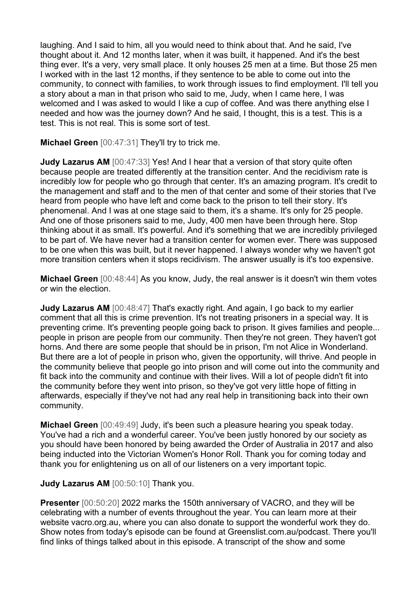laughing. And I said to him, all you would need to think about that. And he said, I've thought about it. And 12 months later, when it was built, it happened. And it's the best thing ever. It's a very, very small place. It only houses 25 men at a time. But those 25 men I worked with in the last 12 months, if they sentence to be able to come out into the community, to connect with families, to work through issues to find employment. I'll tell you a story about a man in that prison who said to me, Judy, when I came here, I was welcomed and I was asked to would I like a cup of coffee. And was there anything else I needed and how was the journey down? And he said, I thought, this is a test. This is a test. This is not real. This is some sort of test.

**Michael Green** [00:47:31] They'll try to trick me.

**Judy Lazarus AM** [00:47:33] Yes! And I hear that a version of that story quite often because people are treated differently at the transition center. And the recidivism rate is incredibly low for people who go through that center. It's an amazing program. It's credit to the management and staff and to the men of that center and some of their stories that I've heard from people who have left and come back to the prison to tell their story. It's phenomenal. And I was at one stage said to them, it's a shame. It's only for 25 people. And one of those prisoners said to me, Judy, 400 men have been through here. Stop thinking about it as small. It's powerful. And it's something that we are incredibly privileged to be part of. We have never had a transition center for women ever. There was supposed to be one when this was built, but it never happened. I always wonder why we haven't got more transition centers when it stops recidivism. The answer usually is it's too expensive.

**Michael Green** [00:48:44] As you know, Judy, the real answer is it doesn't win them votes or win the election.

**Judy Lazarus AM** [00:48:47] That's exactly right. And again, I go back to my earlier comment that all this is crime prevention. It's not treating prisoners in a special way. It is preventing crime. It's preventing people going back to prison. It gives families and people... people in prison are people from our community. Then they're not green. They haven't got horns. And there are some people that should be in prison, I'm not Alice in Wonderland. But there are a lot of people in prison who, given the opportunity, will thrive. And people in the community believe that people go into prison and will come out into the community and fit back into the community and continue with their lives. Will a lot of people didn't fit into the community before they went into prison, so they've got very little hope of fitting in afterwards, especially if they've not had any real help in transitioning back into their own community.

**Michael Green** [00:49:49] Judy, it's been such a pleasure hearing you speak today. You've had a rich and a wonderful career. You've been justly honored by our society as you should have been honored by being awarded the Order of Australia in 2017 and also being inducted into the Victorian Women's Honor Roll. Thank you for coming today and thank you for enlightening us on all of our listeners on a very important topic.

## **Judy Lazarus AM** [00:50:10] Thank you.

**Presenter** [00:50:20] 2022 marks the 150th anniversary of VACRO, and they will be celebrating with a number of events throughout the year. You can learn more at their website vacro.org.au, where you can also donate to support the wonderful work they do. Show notes from today's episode can be found at Greenslist.com.au/podcast. There you'll find links of things talked about in this episode. A transcript of the show and some